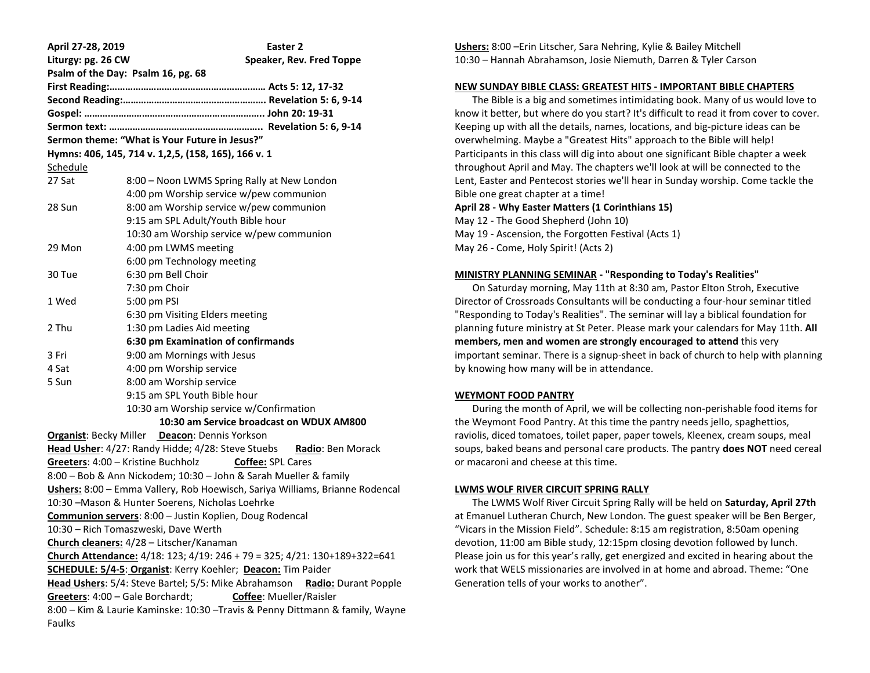| April 27-28, 2019                                                                                                       | Easter 2                                                                      |
|-------------------------------------------------------------------------------------------------------------------------|-------------------------------------------------------------------------------|
| Liturgy: pg. 26 CW                                                                                                      | Speaker, Rev. Fred Toppe                                                      |
| Psalm of the Day: Psalm 16, pg. 68                                                                                      |                                                                               |
|                                                                                                                         |                                                                               |
|                                                                                                                         |                                                                               |
|                                                                                                                         |                                                                               |
|                                                                                                                         |                                                                               |
| Sermon theme: "What is Your Future in Jesus?"                                                                           |                                                                               |
|                                                                                                                         | Hymns: 406, 145, 714 v. 1, 2, 5, (158, 165), 166 v. 1                         |
| <u>Schedule</u>                                                                                                         |                                                                               |
| 27 Sat                                                                                                                  | 8:00 - Noon LWMS Spring Rally at New London                                   |
|                                                                                                                         | 4:00 pm Worship service w/pew communion                                       |
| 28 Sun                                                                                                                  | 8:00 am Worship service w/pew communion                                       |
|                                                                                                                         | 9:15 am SPL Adult/Youth Bible hour                                            |
|                                                                                                                         | 10:30 am Worship service w/pew communion                                      |
| 29 Mon                                                                                                                  | 4:00 pm LWMS meeting                                                          |
|                                                                                                                         | 6:00 pm Technology meeting                                                    |
| 30 Tue                                                                                                                  | 6:30 pm Bell Choir                                                            |
|                                                                                                                         | 7:30 pm Choir                                                                 |
| 1 Wed                                                                                                                   | 5:00 pm PSI                                                                   |
|                                                                                                                         | 6:30 pm Visiting Elders meeting                                               |
| 2 Thu                                                                                                                   | 1:30 pm Ladies Aid meeting                                                    |
|                                                                                                                         | 6:30 pm Examination of confirmands                                            |
| 3 Fri                                                                                                                   | 9:00 am Mornings with Jesus                                                   |
| 4 Sat                                                                                                                   | 4:00 pm Worship service                                                       |
| 5 Sun                                                                                                                   | 8:00 am Worship service                                                       |
|                                                                                                                         | 9:15 am SPL Youth Bible hour                                                  |
|                                                                                                                         | 10:30 am Worship service w/Confirmation                                       |
| 10:30 am Service broadcast on WDUX AM800                                                                                |                                                                               |
|                                                                                                                         | <b>Organist: Becky Miller Deacon: Dennis Yorkson</b>                          |
|                                                                                                                         | Head Usher: 4/27: Randy Hidde; 4/28: Steve Stuebs Radio: Ben Morack           |
|                                                                                                                         | Greeters: 4:00 – Kristine Buchholz<br>Coffee: SPL Cares                       |
|                                                                                                                         | 8:00 - Bob & Ann Nickodem; 10:30 - John & Sarah Mueller & family              |
|                                                                                                                         | Ushers: 8:00 - Emma Vallery, Rob Hoewisch, Sariya Williams, Brianne Rodencal  |
|                                                                                                                         | 10:30 - Mason & Hunter Soerens, Nicholas Loehrke                              |
|                                                                                                                         | Communion servers: 8:00 - Justin Koplien, Doug Rodencal                       |
|                                                                                                                         | 10:30 - Rich Tomaszweski, Dave Werth                                          |
| Church cleaners: 4/28 - Litscher/Kanaman                                                                                |                                                                               |
| Church Attendance: 4/18: 123; 4/19: 246 + 79 = 325; 4/21: 130+189+322=641                                               |                                                                               |
| SCHEDULE: 5/4-5: Organist: Kerry Koehler; Deacon: Tim Paider                                                            |                                                                               |
| Head Ushers: 5/4: Steve Bartel; 5/5: Mike Abrahamson<br><b>Radio:</b> Durant Popple<br>Greeters: 4:00 - Gale Borchardt; |                                                                               |
|                                                                                                                         | Coffee: Mueller/Raisler                                                       |
|                                                                                                                         | 8:00 - Kim & Laurie Kaminske: 10:30 - Travis & Penny Dittmann & family, Wayne |
| Faulks                                                                                                                  |                                                                               |

**Ushers:** 8:00 –Erin Litscher, Sara Nehring, Kylie & Bailey Mitchell 10:30 – Hannah Abrahamson, Josie Niemuth, Darren & Tyler Carson

#### **NEW SUNDAY BIBLE CLASS: GREATEST HITS - IMPORTANT BIBLE CHAPTERS**

 The Bible is a big and sometimes intimidating book. Many of us would love to know it better, but where do you start? It's difficult to read it from cover to cover. Keeping up with all the details, names, locations, and big-picture ideas can be overwhelming. Maybe a "Greatest Hits" approach to the Bible will help! Participants in this class will dig into about one significant Bible chapter a week throughout April and May. The chapters we'll look at will be connected to the Lent, Easter and Pentecost stories we'll hear in Sunday worship. Come tackle the Bible one great chapter at a time! **April 28 - Why Easter Matters (1 Corinthians 15)** May 12 - The Good Shepherd (John 10)

May 19 - Ascension, the Forgotten Festival (Acts 1) May 26 - Come, Holy Spirit! (Acts 2)

#### **MINISTRY PLANNING SEMINAR - "Responding to Today's Realities"**

 On Saturday morning, May 11th at 8:30 am, Pastor Elton Stroh, Executive Director of Crossroads Consultants will be conducting a four-hour seminar titled "Responding to Today's Realities". The seminar will lay a biblical foundation for planning future ministry at St Peter. Please mark your calendars for May 11th. **All members, men and women are strongly encouraged to attend** this very important seminar. There is a signup-sheet in back of church to help with planning by knowing how many will be in attendance.

#### **WEYMONT FOOD PANTRY**

During the month of April, we will be collecting non-perishable food items for the Weymont Food Pantry. At this time the pantry needs jello, spaghettios, raviolis, diced tomatoes, toilet paper, paper towels, Kleenex, cream soups, meal soups, baked beans and personal care products. The pantry **does NOT** need cereal or macaroni and cheese at this time.

### **LWMS WOLF RIVER CIRCUIT SPRING RALLY**

 The LWMS Wolf River Circuit Spring Rally will be held on **Saturday, April 27th** at Emanuel Lutheran Church, New London. The guest speaker will be Ben Berger, "Vicars in the Mission Field". Schedule: 8:15 am registration, 8:50am opening devotion, 11:00 am Bible study, 12:15pm closing devotion followed by lunch. Please join us for this year's rally, get energized and excited in hearing about the work that WELS missionaries are involved in at home and abroad. Theme: "One Generation tells of your works to another".